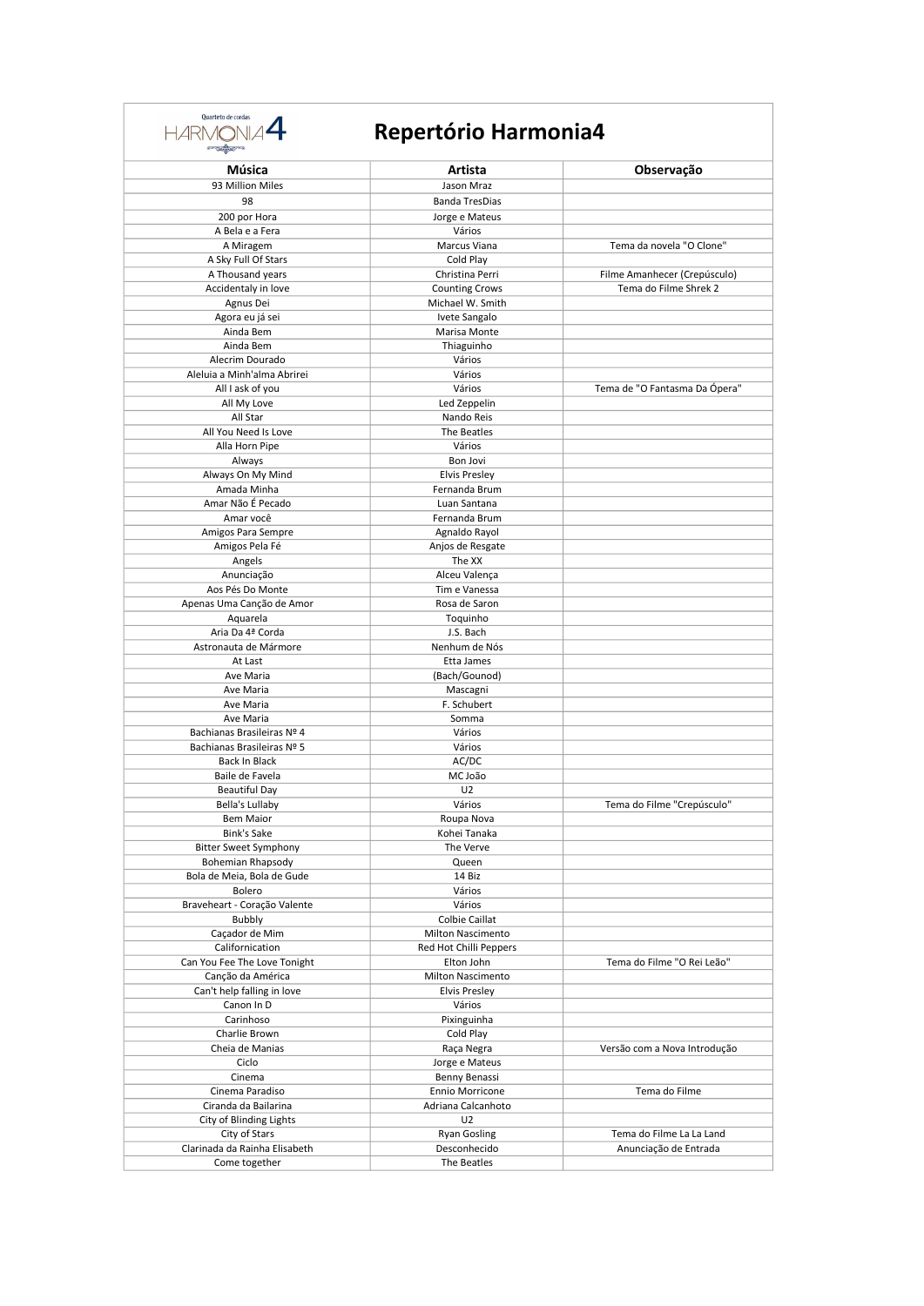

| Música                                         | Artista                               | Observação                    |
|------------------------------------------------|---------------------------------------|-------------------------------|
| 93 Million Miles                               | Jason Mraz                            |                               |
| 98                                             | <b>Banda TresDias</b>                 |                               |
| 200 por Hora                                   | Jorge e Mateus                        |                               |
| A Bela e a Fera                                | Vários                                |                               |
| A Miragem                                      | Marcus Viana<br>Cold Play             | Tema da novela "O Clone"      |
| A Sky Full Of Stars<br>A Thousand years        | Christina Perri                       | Filme Amanhecer (Crepúsculo)  |
| Accidentaly in love                            | <b>Counting Crows</b>                 | Tema do Filme Shrek 2         |
| Agnus Dei                                      | Michael W. Smith                      |                               |
| Agora eu já sei                                | Ivete Sangalo                         |                               |
| Ainda Bem                                      | Marisa Monte                          |                               |
| Ainda Bem                                      | Thiaguinho                            |                               |
| Alecrim Dourado<br>Aleluia a Minh'alma Abrirei | Vários<br>Vários                      |                               |
| All I ask of you                               | Vários                                | Tema de "O Fantasma Da Ópera" |
| All My Love                                    | Led Zeppelin                          |                               |
| All Star                                       | Nando Reis                            |                               |
| All You Need Is Love                           | The Beatles                           |                               |
| Alla Horn Pipe                                 | Vários                                |                               |
| Always                                         | <b>Bon Jovi</b>                       |                               |
| Always On My Mind<br>Amada Minha               | <b>Elvis Presley</b><br>Fernanda Brum |                               |
| Amar Não É Pecado                              | Luan Santana                          |                               |
| Amar você                                      | Fernanda Brum                         |                               |
| Amigos Para Sempre                             | Agnaldo Rayol                         |                               |
| Amigos Pela Fé                                 | Anjos de Resgate                      |                               |
| Angels                                         | The XX                                |                               |
| Anunciação<br>Aos Pés Do Monte                 | Alceu Valença                         |                               |
| Apenas Uma Canção de Amor                      | Tim e Vanessa<br>Rosa de Saron        |                               |
| Aquarela                                       | Toquinho                              |                               |
| Aria Da 4ª Corda                               | J.S. Bach                             |                               |
| Astronauta de Mármore                          | Nenhum de Nós                         |                               |
| At Last                                        | Etta James                            |                               |
| Ave Maria                                      | (Bach/Gounod)                         |                               |
| Ave Maria<br>Ave Maria                         | Mascagni<br>F. Schubert               |                               |
| Ave Maria                                      | Somma                                 |                               |
| Bachianas Brasileiras Nº 4                     | Vários                                |                               |
| Bachianas Brasileiras Nº 5                     | Vários                                |                               |
| Back In Black                                  | AC/DC                                 |                               |
| Baile de Favela                                | MC João                               |                               |
| <b>Beautiful Day</b>                           | U <sub>2</sub>                        |                               |
| Bella's Lullaby<br><b>Bem Maior</b>            | Vários<br>Roupa Nova                  | Tema do Filme "Crepúsculo"    |
| <b>Bink's Sake</b>                             | Kohei Tanaka                          |                               |
| <b>Bitter Sweet Symphony</b>                   | The Verve                             |                               |
| Bohemian Rhapsody                              | Queen                                 |                               |
| Bola de Meia, Bola de Gude                     | 14 Biz                                |                               |
| Bolero                                         | Vários                                |                               |
| Braveheart - Coração Valente<br><b>Bubbly</b>  | Vários<br>Colbie Caillat              |                               |
| Caçador de Mim                                 | <b>Milton Nascimento</b>              |                               |
| Californication                                | Red Hot Chilli Peppers                |                               |
| Can You Fee The Love Tonight                   | Elton John                            | Tema do Filme "O Rei Leão"    |
| Canção da América                              | <b>Milton Nascimento</b>              |                               |
| Can't help falling in love                     | <b>Elvis Presley</b>                  |                               |
| Canon In D                                     | Vários                                |                               |
| Carinhoso<br>Charlie Brown                     | Pixinguinha<br>Cold Play              |                               |
| Cheia de Manias                                | Raça Negra                            | Versão com a Nova Introdução  |
| Ciclo                                          | Jorge e Mateus                        |                               |
| Cinema                                         | Benny Benassi                         |                               |
| Cinema Paradiso                                | <b>Ennio Morricone</b>                | Tema do Filme                 |
| Ciranda da Bailarina                           | Adriana Calcanhoto                    |                               |
| City of Blinding Lights<br>City of Stars       | U <sub>2</sub><br><b>Ryan Gosling</b> | Tema do Filme La La Land      |
| Clarinada da Rainha Elisabeth                  | Desconhecido                          | Anunciação de Entrada         |
| Come together                                  | The Beatles                           |                               |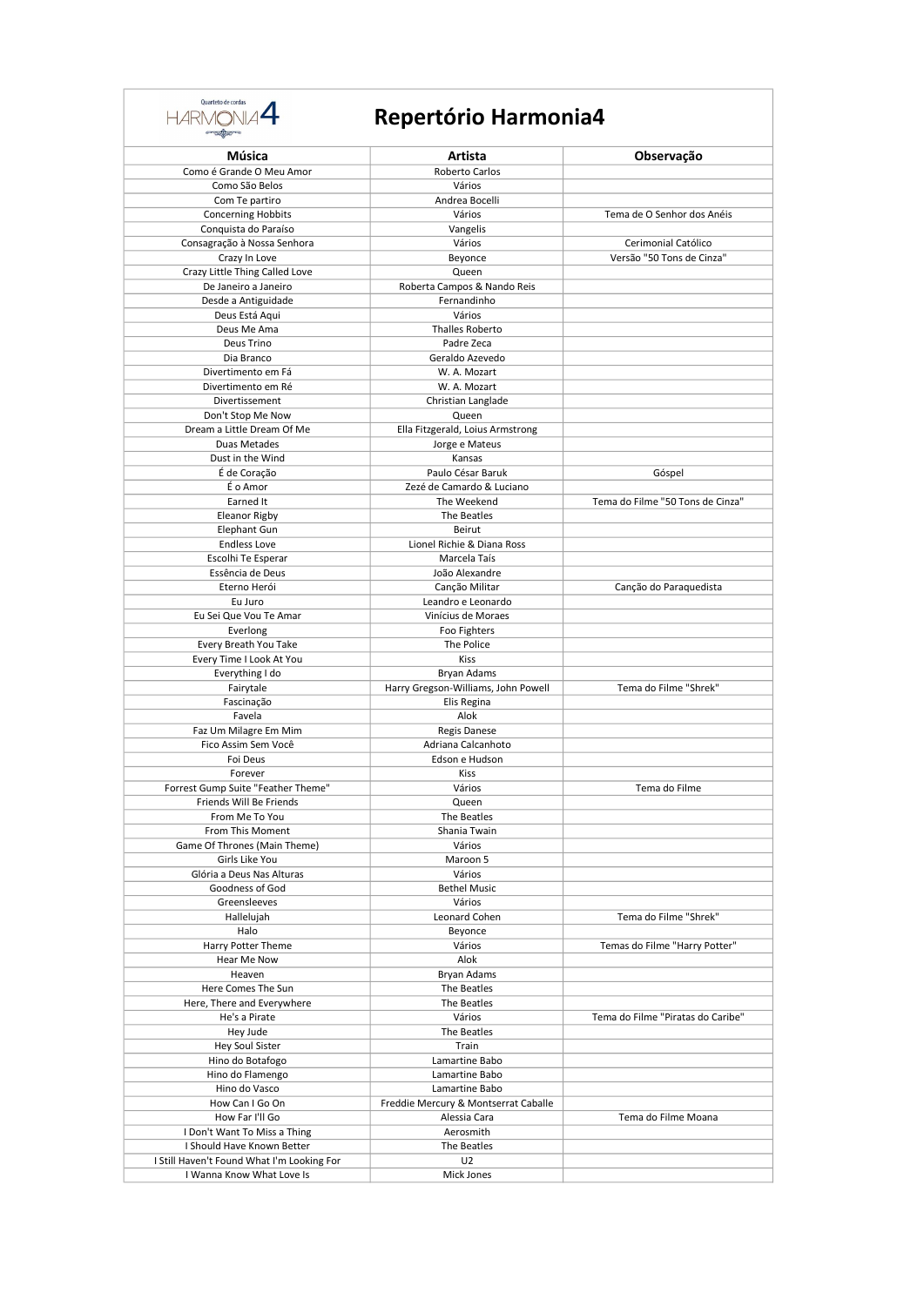

| Música                                              | Artista                                        | Observação                        |
|-----------------------------------------------------|------------------------------------------------|-----------------------------------|
| Como é Grande O Meu Amor                            | Roberto Carlos                                 |                                   |
| Como São Belos                                      | Vários                                         |                                   |
| Com Te partiro                                      | Andrea Bocelli                                 |                                   |
| <b>Concerning Hobbits</b>                           | Vários                                         | Tema de O Senhor dos Anéis        |
| Conquista do Paraíso<br>Consagração à Nossa Senhora | Vangelis<br>Vários                             | Cerimonial Católico               |
| Crazy In Love                                       | Beyonce                                        | Versão "50 Tons de Cinza"         |
| Crazy Little Thing Called Love                      | Queen                                          |                                   |
| De Janeiro a Janeiro                                | Roberta Campos & Nando Reis                    |                                   |
| Desde a Antiguidade                                 | Fernandinho                                    |                                   |
| Deus Está Aqui                                      | Vários                                         |                                   |
| Deus Me Ama                                         | <b>Thalles Roberto</b>                         |                                   |
| Deus Trino<br>Dia Branco                            | Padre Zeca<br>Geraldo Azevedo                  |                                   |
| Divertimento em Fá                                  | W. A. Mozart                                   |                                   |
| Divertimento em Ré                                  | W. A. Mozart                                   |                                   |
| Divertissement                                      | Christian Langlade                             |                                   |
| Don't Stop Me Now                                   | Queen                                          |                                   |
| Dream a Little Dream Of Me                          | Ella Fitzgerald, Loius Armstrong               |                                   |
| Duas Metades                                        | Jorge e Mateus                                 |                                   |
| Dust in the Wind                                    | Kansas                                         |                                   |
| É de Coração<br>É o Amor                            | Paulo César Baruk<br>Zezé de Camardo & Luciano | Góspel                            |
| Earned It                                           | The Weekend                                    | Tema do Filme "50 Tons de Cinza"  |
| Eleanor Rigby                                       | The Beatles                                    |                                   |
| <b>Elephant Gun</b>                                 | Beirut                                         |                                   |
| <b>Endless Love</b>                                 | Lionel Richie & Diana Ross                     |                                   |
| Escolhi Te Esperar                                  | Marcela Taís                                   |                                   |
| Essência de Deus                                    | João Alexandre                                 |                                   |
| Eterno Herói                                        | Canção Militar                                 | Canção do Paraquedista            |
| Eu Juro                                             | Leandro e Leonardo                             |                                   |
| Eu Sei Que Vou Te Amar                              | Vinícius de Moraes                             |                                   |
| Everlong<br>Every Breath You Take                   | Foo Fighters<br>The Police                     |                                   |
| Every Time I Look At You                            | Kiss                                           |                                   |
| Everything I do                                     | <b>Bryan Adams</b>                             |                                   |
| Fairytale                                           | Harry Gregson-Williams, John Powell            | Tema do Filme "Shrek"             |
| Fascinação                                          | Elis Regina                                    |                                   |
| Favela                                              | Alok                                           |                                   |
| Faz Um Milagre Em Mim                               | <b>Regis Danese</b>                            |                                   |
| Fico Assim Sem Você                                 | Adriana Calcanhoto                             |                                   |
| Foi Deus<br>Forever                                 | Edson e Hudson<br>Kiss                         |                                   |
| Forrest Gump Suite "Feather Theme"                  | Vários                                         | Tema do Filme                     |
| Friends Will Be Friends                             | Queen                                          |                                   |
| From Me To You                                      | The Beatles                                    |                                   |
| From This Moment                                    | Shania Twain                                   |                                   |
| Game Of Thrones (Main Theme)                        | Vários                                         |                                   |
| Girls Like You                                      | Maroon 5                                       |                                   |
| Glória a Deus Nas Alturas                           | Vários                                         |                                   |
| Goodness of God                                     | <b>Bethel Music</b>                            |                                   |
| Greensleeves<br>Hallelujah                          | Vários<br>Leonard Cohen                        | Tema do Filme "Shrek"             |
| Halo                                                | Beyonce                                        |                                   |
| Harry Potter Theme                                  | Vários                                         | Temas do Filme "Harry Potter"     |
| Hear Me Now                                         | Alok                                           |                                   |
| Heaven                                              | Bryan Adams                                    |                                   |
| Here Comes The Sun                                  | The Beatles                                    |                                   |
| Here, There and Everywhere                          | The Beatles                                    |                                   |
| He's a Pirate                                       | Vários                                         | Tema do Filme "Piratas do Caribe" |
| Hey Jude<br>Hey Soul Sister                         | The Beatles<br>Train                           |                                   |
| Hino do Botafogo                                    | Lamartine Babo                                 |                                   |
| Hino do Flamengo                                    | Lamartine Babo                                 |                                   |
| Hino do Vasco                                       | Lamartine Babo                                 |                                   |
| How Can I Go On                                     | Freddie Mercury & Montserrat Caballe           |                                   |
| How Far I'll Go                                     | Alessia Cara                                   | Tema do Filme Moana               |
| I Don't Want To Miss a Thing                        | Aerosmith                                      |                                   |
| I Should Have Known Better                          | The Beatles                                    |                                   |
| I Still Haven't Found What I'm Looking For          | U <sub>2</sub>                                 |                                   |
| I Wanna Know What Love Is                           | Mick Jones                                     |                                   |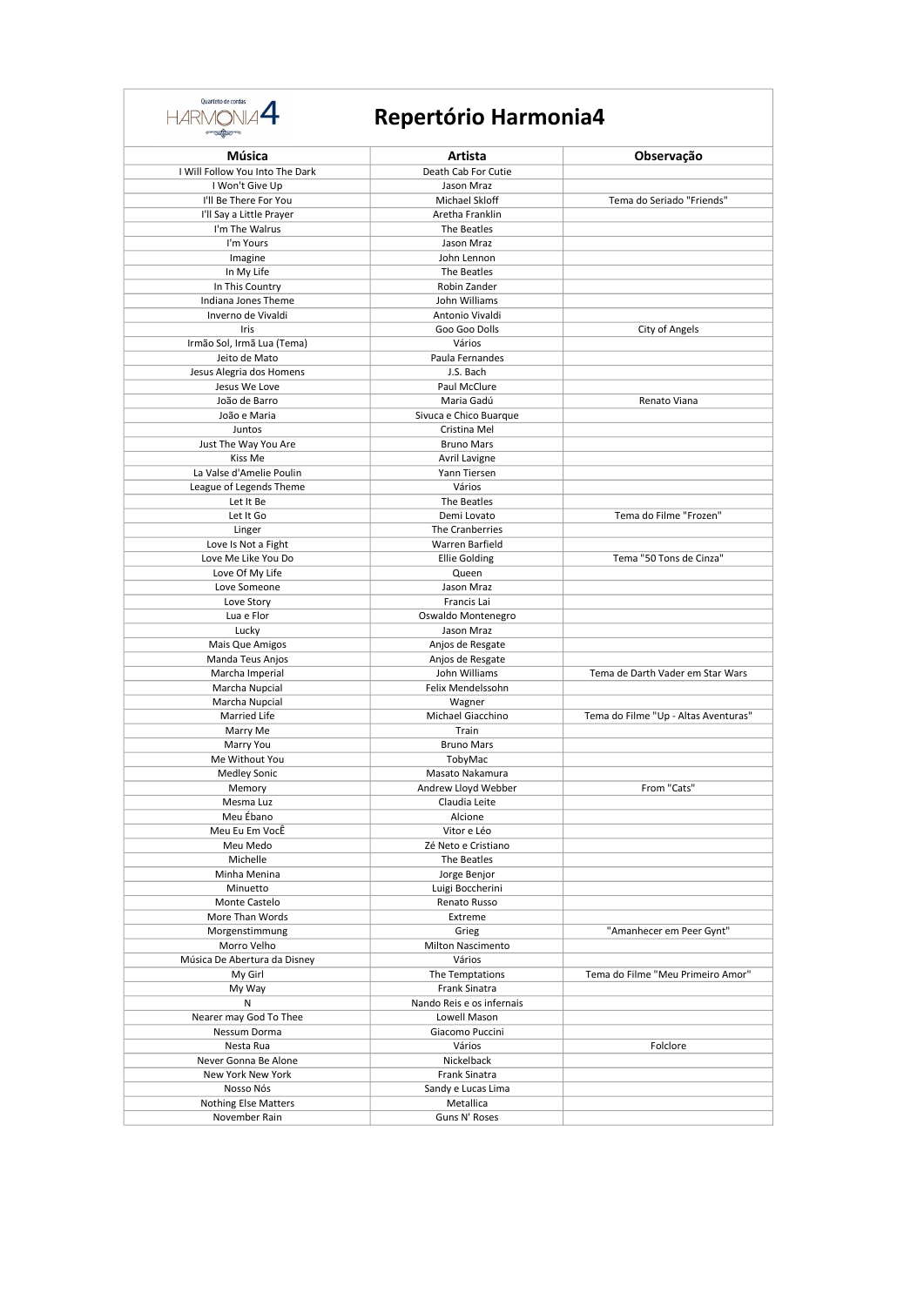

| <b>Confirma</b>                 |                                        |                                      |
|---------------------------------|----------------------------------------|--------------------------------------|
| Música                          | Artista                                | Observação                           |
| I Will Follow You Into The Dark | Death Cab For Cutie                    |                                      |
| I Won't Give Up                 | Jason Mraz                             |                                      |
| I'll Be There For You           | Michael Skloff                         | Tema do Seriado "Friends"            |
| I'll Say a Little Prayer        | Aretha Franklin                        |                                      |
| I'm The Walrus                  | The Beatles                            |                                      |
| I'm Yours                       | Jason Mraz                             |                                      |
| Imagine<br>In My Life           | John Lennon<br>The Beatles             |                                      |
| In This Country                 | Robin Zander                           |                                      |
| Indiana Jones Theme             | John Williams                          |                                      |
| Inverno de Vivaldi              | Antonio Vivaldi                        |                                      |
| Iris                            | Goo Goo Dolls                          | City of Angels                       |
| Irmão Sol, Irmã Lua (Tema)      | Vários                                 |                                      |
| Jeito de Mato                   | Paula Fernandes                        |                                      |
| Jesus Alegria dos Homens        | J.S. Bach                              |                                      |
| Jesus We Love                   | Paul McClure                           |                                      |
| João de Barro                   | Maria Gadú                             | Renato Viana                         |
| João e Maria<br>Juntos          | Sivuca e Chico Buarque<br>Cristina Mel |                                      |
| Just The Way You Are            | <b>Bruno Mars</b>                      |                                      |
| Kiss Me                         | Avril Lavigne                          |                                      |
| La Valse d'Amelie Poulin        | Yann Tiersen                           |                                      |
| League of Legends Theme         | Vários                                 |                                      |
| Let It Be                       | The Beatles                            |                                      |
| Let It Go                       | Demi Lovato                            | Tema do Filme "Frozen"               |
| Linger                          | The Cranberries                        |                                      |
| Love Is Not a Fight             | Warren Barfield                        |                                      |
| Love Me Like You Do             | <b>Ellie Golding</b>                   | Tema "50 Tons de Cinza"              |
| Love Of My Life                 | Queen                                  |                                      |
| Love Someone                    | Jason Mraz                             |                                      |
| Love Story                      | Francis Lai                            |                                      |
| Lua e Flor<br>Lucky             | Oswaldo Montenegro<br>Jason Mraz       |                                      |
| Mais Que Amigos                 | Anjos de Resgate                       |                                      |
| Manda Teus Anjos                | Anjos de Resgate                       |                                      |
| Marcha Imperial                 | John Williams                          | Tema de Darth Vader em Star Wars     |
| Marcha Nupcial                  | Felix Mendelssohn                      |                                      |
| Marcha Nupcial                  | Wagner                                 |                                      |
| Married Life                    | Michael Giacchino                      | Tema do Filme "Up - Altas Aventuras" |
| Marry Me                        | Train                                  |                                      |
| Marry You                       | <b>Bruno Mars</b>                      |                                      |
| Me Without You                  | TobyMac                                |                                      |
| <b>Medley Sonic</b>             | Masato Nakamura                        | From "Cats"                          |
| Memory<br>Mesma Luz             | Andrew Lloyd Webber<br>Claudia Leite   |                                      |
| Meu Ébano                       | Alcione                                |                                      |
| Meu Eu Em VocÊ                  | Vitor e Léo                            |                                      |
| Meu Medo                        | Zé Neto e Cristiano                    |                                      |
| Michelle                        | The Beatles                            |                                      |
| Minha Menina                    | Jorge Benjor                           |                                      |
| Minuetto                        | Luigi Boccherini                       |                                      |
| Monte Castelo                   | Renato Russo                           |                                      |
| More Than Words                 | Extreme                                |                                      |
| Morgenstimmung                  | Grieg                                  | "Amanhecer em Peer Gynt"             |
| Morro Velho                     | <b>Milton Nascimento</b>               |                                      |
| Música De Abertura da Disney    | Vários                                 |                                      |
| My Girl<br>My Way               | The Temptations<br>Frank Sinatra       | Tema do Filme "Meu Primeiro Amor"    |
| Ν                               | Nando Reis e os infernais              |                                      |
| Nearer may God To Thee          | Lowell Mason                           |                                      |
| Nessum Dorma                    | Giacomo Puccini                        |                                      |
| Nesta Rua                       | Vários                                 | Folclore                             |
| Never Gonna Be Alone            | Nickelback                             |                                      |
| New York New York               | Frank Sinatra                          |                                      |
| Nosso Nós                       | Sandy e Lucas Lima                     |                                      |
| <b>Nothing Else Matters</b>     | Metallica                              |                                      |
| November Rain                   | Guns N' Roses                          |                                      |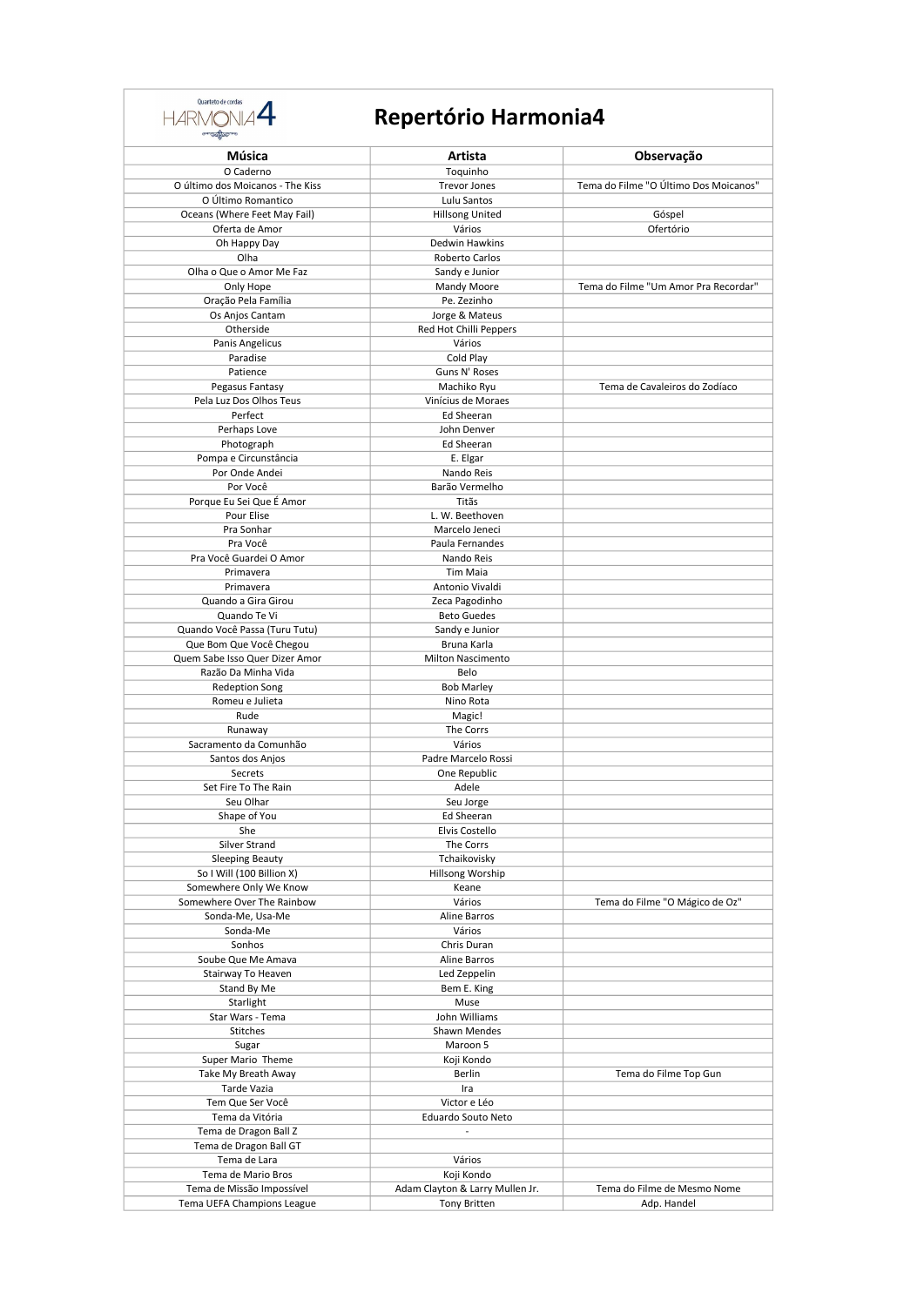

| Música                           | Artista                         | Observação                            |
|----------------------------------|---------------------------------|---------------------------------------|
| O Caderno                        | Toquinho                        |                                       |
| O último dos Moicanos - The Kiss | <b>Trevor Jones</b>             | Tema do Filme "O Último Dos Moicanos" |
| O Último Romantico               | Lulu Santos                     |                                       |
| Oceans (Where Feet May Fail)     | <b>Hillsong United</b>          | Góspel                                |
| Oferta de Amor                   | Vários                          | Ofertório                             |
| Oh Happy Day                     | Dedwin Hawkins                  |                                       |
| Olha                             | Roberto Carlos                  |                                       |
| Olha o Que o Amor Me Faz         | Sandy e Junior                  |                                       |
| Only Hope                        | Mandy Moore                     | Tema do Filme "Um Amor Pra Recordar"  |
| Oração Pela Família              | Pe. Zezinho                     |                                       |
| Os Anjos Cantam                  | Jorge & Mateus                  |                                       |
| Otherside                        | Red Hot Chilli Peppers          |                                       |
| Panis Angelicus                  | Vários                          |                                       |
| Paradise                         | Cold Play                       |                                       |
| Patience                         | Guns N' Roses                   |                                       |
| Pegasus Fantasy                  | Machiko Ryu                     | Tema de Cavaleiros do Zodíaco         |
| Pela Luz Dos Olhos Teus          | Vinícius de Moraes              |                                       |
| Perfect                          | Ed Sheeran                      |                                       |
| Perhaps Love                     | John Denver                     |                                       |
| Photograph                       | Ed Sheeran                      |                                       |
| Pompa e Circunstância            | E. Elgar                        |                                       |
| Por Onde Andei                   | Nando Reis                      |                                       |
| Por Você                         | Barão Vermelho                  |                                       |
| Porque Eu Sei Que É Amor         | Titãs                           |                                       |
| Pour Elise                       | L. W. Beethoven                 |                                       |
| Pra Sonhar                       | Marcelo Jeneci                  |                                       |
| Pra Você                         | Paula Fernandes                 |                                       |
| Pra Você Guardei O Amor          | Nando Reis                      |                                       |
| Primavera                        | Tim Maia                        |                                       |
| Primavera                        | Antonio Vivaldi                 |                                       |
| Quando a Gira Girou              | Zeca Pagodinho                  |                                       |
| Quando Te Vi                     | <b>Beto Guedes</b>              |                                       |
| Quando Você Passa (Turu Tutu)    | Sandy e Junior                  |                                       |
| Que Bom Que Você Chegou          | Bruna Karla                     |                                       |
| Quem Sabe Isso Quer Dizer Amor   | <b>Milton Nascimento</b>        |                                       |
| Razão Da Minha Vida              | Belo                            |                                       |
| <b>Redeption Song</b>            | <b>Bob Marley</b>               |                                       |
| Romeu e Julieta                  | Nino Rota                       |                                       |
| Rude                             | Magic!                          |                                       |
| Runaway                          | The Corrs                       |                                       |
| Sacramento da Comunhão           | Vários                          |                                       |
| Santos dos Anjos                 | Padre Marcelo Rossi             |                                       |
| Secrets                          | One Republic                    |                                       |
| Set Fire To The Rain             | Adele                           |                                       |
| Seu Olhar                        | Seu Jorge                       |                                       |
| Shape of You                     | Ed Sheeran                      |                                       |
| She                              | Elvis Costello                  |                                       |
| Silver Strand                    | The Corrs                       |                                       |
| <b>Sleeping Beauty</b>           | Tchaikovisky                    |                                       |
| So I Will (100 Billion X)        | Hillsong Worship                |                                       |
| Somewhere Only We Know           | Keane                           |                                       |
| Somewhere Over The Rainbow       | Vários                          | Tema do Filme "O Mágico de Oz"        |
| Sonda-Me, Usa-Me                 | Aline Barros                    |                                       |
| Sonda-Me                         | Vários                          |                                       |
| Sonhos                           | Chris Duran                     |                                       |
| Soube Que Me Amava               | Aline Barros                    |                                       |
| Stairway To Heaven               | Led Zeppelin                    |                                       |
| Stand By Me                      | Bem E. King                     |                                       |
| Starlight                        | Muse                            |                                       |
| Star Wars - Tema                 | John Williams                   |                                       |
| Stitches                         | Shawn Mendes                    |                                       |
| Sugar                            | Maroon 5                        |                                       |
| Super Mario Theme                | Koji Kondo                      |                                       |
| Take My Breath Away              | Berlin                          | Tema do Filme Top Gun                 |
| Tarde Vazia                      | Ira                             |                                       |
| Tem Que Ser Você                 | Victor e Léo                    |                                       |
| Tema da Vitória                  | Eduardo Souto Neto              |                                       |
| Tema de Dragon Ball Z            |                                 |                                       |
| Tema de Dragon Ball GT           |                                 |                                       |
| Tema de Lara                     | Vários                          |                                       |
| Tema de Mario Bros               | Koji Kondo                      |                                       |
| Tema de Missão Impossível        | Adam Clayton & Larry Mullen Jr. | Tema do Filme de Mesmo Nome           |
| Tema UEFA Champions League       | <b>Tony Britten</b>             | Adp. Handel                           |